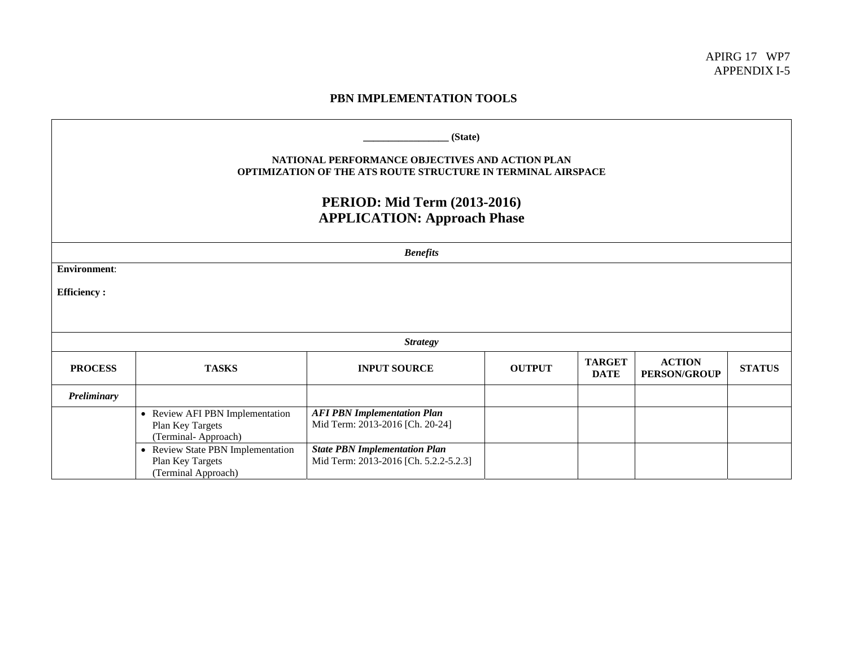## **PBN IMPLEMENTATION TOOLS**

| (State)<br>NATIONAL PERFORMANCE OBJECTIVES AND ACTION PLAN<br>OPTIMIZATION OF THE ATS ROUTE STRUCTURE IN TERMINAL AIRSPACE<br><b>PERIOD: Mid Term (2013-2016)</b><br><b>APPLICATION: Approach Phase</b> |                                                                              |                                                                               |               |                              |                                      |               |  |
|---------------------------------------------------------------------------------------------------------------------------------------------------------------------------------------------------------|------------------------------------------------------------------------------|-------------------------------------------------------------------------------|---------------|------------------------------|--------------------------------------|---------------|--|
| <b>Benefits</b>                                                                                                                                                                                         |                                                                              |                                                                               |               |                              |                                      |               |  |
| <b>Environment:</b>                                                                                                                                                                                     |                                                                              |                                                                               |               |                              |                                      |               |  |
| <b>Efficiency:</b>                                                                                                                                                                                      |                                                                              |                                                                               |               |                              |                                      |               |  |
|                                                                                                                                                                                                         |                                                                              |                                                                               |               |                              |                                      |               |  |
| <b>Strategy</b>                                                                                                                                                                                         |                                                                              |                                                                               |               |                              |                                      |               |  |
| <b>PROCESS</b>                                                                                                                                                                                          | <b>TASKS</b>                                                                 | <b>INPUT SOURCE</b>                                                           | <b>OUTPUT</b> | <b>TARGET</b><br><b>DATE</b> | <b>ACTION</b><br><b>PERSON/GROUP</b> | <b>STATUS</b> |  |
| Preliminary                                                                                                                                                                                             |                                                                              |                                                                               |               |                              |                                      |               |  |
|                                                                                                                                                                                                         | • Review AFI PBN Implementation<br>Plan Key Targets<br>(Terminal-Approach)   | <b>AFI PBN Implementation Plan</b><br>Mid Term: 2013-2016 [Ch. 20-24]         |               |                              |                                      |               |  |
|                                                                                                                                                                                                         | • Review State PBN Implementation<br>Plan Key Targets<br>(Terminal Approach) | <b>State PBN Implementation Plan</b><br>Mid Term: 2013-2016 [Ch. 5.2.2-5.2.3] |               |                              |                                      |               |  |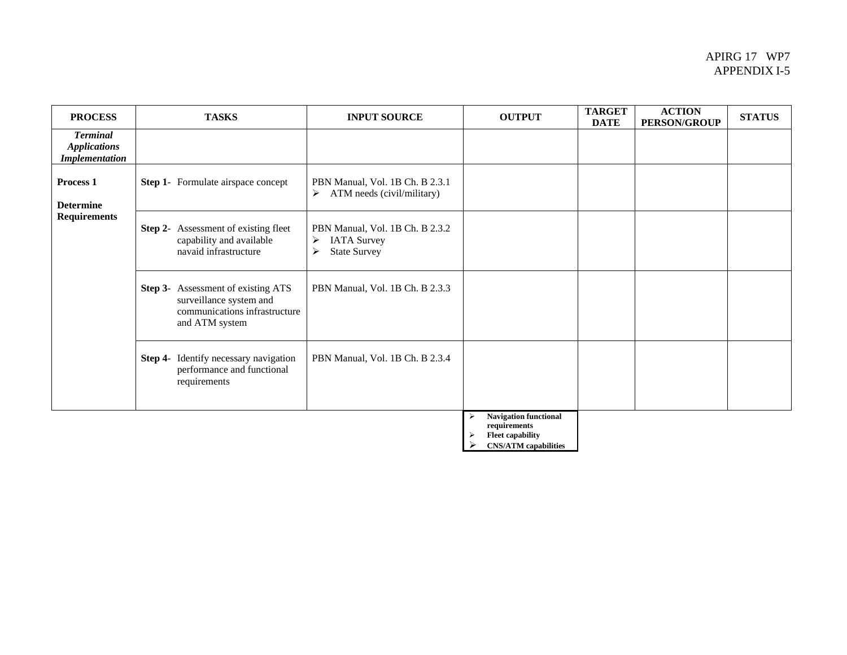## APIRG 17 WP7 APPENDIX I-5

| <b>PROCESS</b>                                                  | <b>TASKS</b>                                                                                                            | <b>INPUT SOURCE</b>                                                                                        | <b>OUTPUT</b>                                                                     | <b>TARGET</b><br><b>DATE</b> | <b>ACTION</b><br><b>PERSON/GROUP</b> | <b>STATUS</b> |
|-----------------------------------------------------------------|-------------------------------------------------------------------------------------------------------------------------|------------------------------------------------------------------------------------------------------------|-----------------------------------------------------------------------------------|------------------------------|--------------------------------------|---------------|
| <b>Terminal</b><br><b>Applications</b><br><b>Implementation</b> |                                                                                                                         |                                                                                                            |                                                                                   |                              |                                      |               |
| Process <sub>1</sub><br><b>Determine</b><br><b>Requirements</b> | <b>Step 1-</b> Formulate airspace concept                                                                               | PBN Manual, Vol. 1B Ch. B 2.3.1<br>ATM needs (civil/military)<br>$\triangleright$                          |                                                                                   |                              |                                      |               |
|                                                                 | <b>Step 2-</b> Assessment of existing fleet<br>capability and available<br>navaid infrastructure                        | PBN Manual, Vol. 1B Ch. B 2.3.2<br><b>IATA Survey</b><br>≻<br><b>State Survey</b><br>$\blacktriangleright$ |                                                                                   |                              |                                      |               |
|                                                                 | <b>Step 3-</b> Assessment of existing ATS<br>surveillance system and<br>communications infrastructure<br>and ATM system | PBN Manual, Vol. 1B Ch. B 2.3.3                                                                            |                                                                                   |                              |                                      |               |
|                                                                 | Step 4- Identify necessary navigation<br>performance and functional<br>requirements                                     | PBN Manual, Vol. 1B Ch. B 2.3.4                                                                            |                                                                                   |                              |                                      |               |
|                                                                 |                                                                                                                         |                                                                                                            | <b>Navigation functional</b><br>⋗<br>requirements<br><b>Fleet capability</b><br>⋗ |                              |                                      |               |

¾ **CNS/ATM capabilities**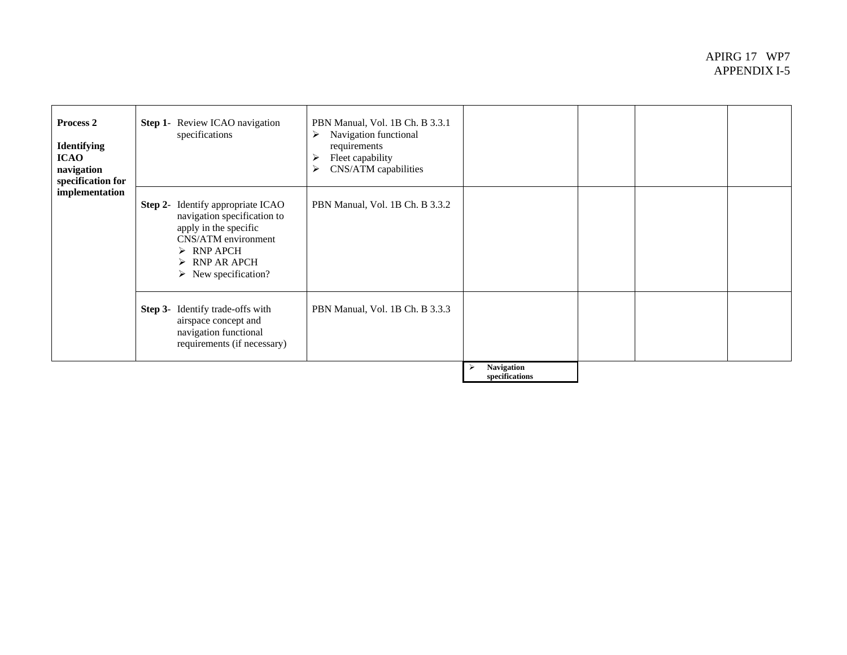## APIRG 17 WP7 APPENDIX I-5

| Process 2<br><b>Identifying</b><br><b>ICAO</b><br>navigation<br>specification for<br>implementation | <b>Step 1-</b> Review ICAO navigation<br>specifications                                                                                                                                                                     | PBN Manual, Vol. 1B Ch. B 3.3.1<br>Navigation functional<br>➤<br>requirements<br>Fleet capability<br>⋗<br>CNS/ATM capabilities<br>➤ |                              |  |  |
|-----------------------------------------------------------------------------------------------------|-----------------------------------------------------------------------------------------------------------------------------------------------------------------------------------------------------------------------------|-------------------------------------------------------------------------------------------------------------------------------------|------------------------------|--|--|
|                                                                                                     | <b>Step 2-</b> Identify appropriate ICAO<br>navigation specification to<br>apply in the specific<br>CNS/ATM environment<br>$\triangleright$ RNP APCH<br>$\triangleright$ RNP AR APCH<br>$\triangleright$ New specification? | PBN Manual, Vol. 1B Ch. B 3.3.2                                                                                                     |                              |  |  |
|                                                                                                     | <b>Step 3-</b> Identify trade-offs with<br>airspace concept and<br>navigation functional<br>requirements (if necessary)                                                                                                     | PBN Manual, Vol. 1B Ch. B 3.3.3                                                                                                     |                              |  |  |
|                                                                                                     |                                                                                                                                                                                                                             |                                                                                                                                     | Navigation<br>specifications |  |  |